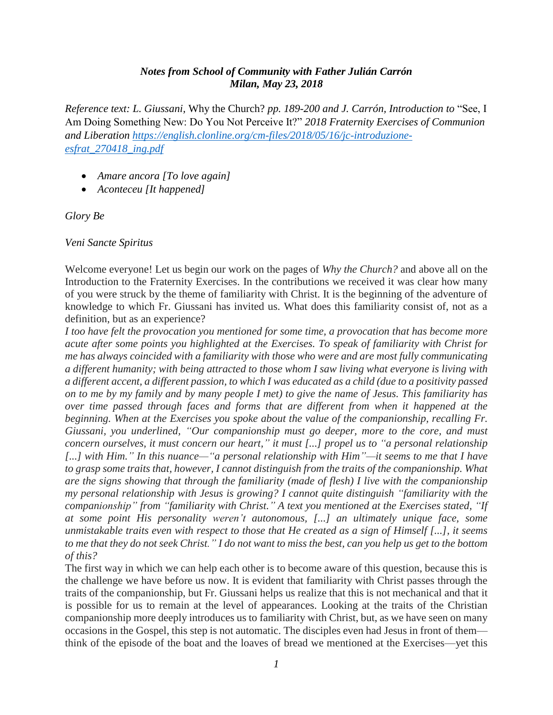## *Notes from School of Community with Father Julián Carrón Milan, May 23, 2018*

*Reference text: L. Giussani,* Why the Church? *pp. 189-200 and J. Carrón, Introduction to* "See, I Am Doing Something New: Do You Not Perceive It?" *2018 Fraternity Exercises of Communion and Liberation [https://english.clonline.org/cm-files/2018/05/16/jc-introduzione](https://english.clonline.org/cm-files/2018/05/16/jc-introduzione-esfrat_270418_ing.pdf)[esfrat\\_270418\\_ing.pdf](https://english.clonline.org/cm-files/2018/05/16/jc-introduzione-esfrat_270418_ing.pdf)*

- *Amare ancora [To love again]*
- *Aconteceu [It happened]*

*Glory Be*

*Veni Sancte Spiritus*

Welcome everyone! Let us begin our work on the pages of *Why the Church?* and above all on the Introduction to the Fraternity Exercises. In the contributions we received it was clear how many of you were struck by the theme of familiarity with Christ. It is the beginning of the adventure of knowledge to which Fr. Giussani has invited us. What does this familiarity consist of, not as a definition, but as an experience?

*I too have felt the provocation you mentioned for some time, a provocation that has become more acute after some points you highlighted at the Exercises. To speak of familiarity with Christ for me has always coincided with a familiarity with those who were and are most fully communicating a different humanity; with being attracted to those whom I saw living what everyone is living with a different accent, a different passion, to which I was educated as a child (due to a positivity passed on to me by my family and by many people I met) to give the name of Jesus. This familiarity has over time passed through faces and forms that are different from when it happened at the beginning. When at the Exercises you spoke about the value of the companionship, recalling Fr. Giussani, you underlined, "Our companionship must go deeper, more to the core, and must concern ourselves, it must concern our heart," it must [...] propel us to "a personal relationship [...] with Him." In this nuance—"a personal relationship with Him"—it seems to me that I have to grasp some traits that, however, I cannot distinguish from the traits of the companionship. What are the signs showing that through the familiarity (made of flesh) I live with the companionship my personal relationship with Jesus is growing? I cannot quite distinguish "familiarity with the companionship" from "familiarity with Christ." A text you mentioned at the Exercises stated, "If at some point His personality weren't autonomous, [...] an ultimately unique face, some unmistakable traits even with respect to those that He created as a sign of Himself [...], it seems to me that they do not seek Christ." I do not want to miss the best, can you help us get to the bottom of this?*

The first way in which we can help each other is to become aware of this question, because this is the challenge we have before us now. It is evident that familiarity with Christ passes through the traits of the companionship, but Fr. Giussani helps us realize that this is not mechanical and that it is possible for us to remain at the level of appearances. Looking at the traits of the Christian companionship more deeply introduces us to familiarity with Christ, but, as we have seen on many occasions in the Gospel, this step is not automatic. The disciples even had Jesus in front of them think of the episode of the boat and the loaves of bread we mentioned at the Exercises—yet this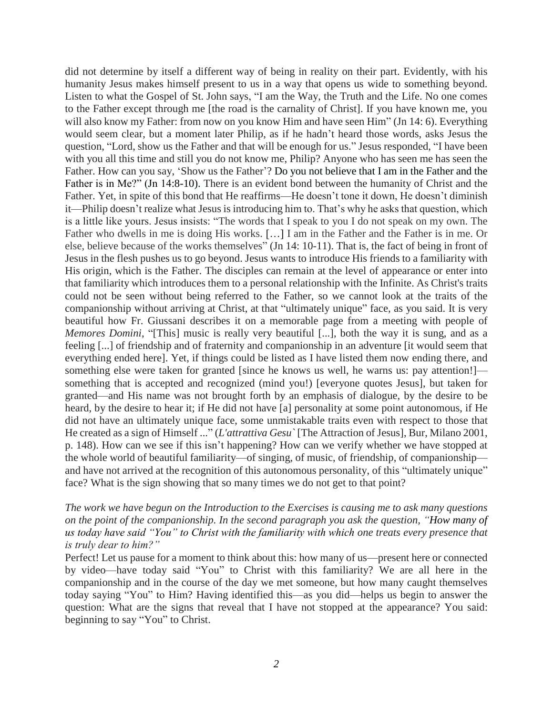did not determine by itself a different way of being in reality on their part. Evidently, with his humanity Jesus makes himself present to us in a way that opens us wide to something beyond. Listen to what the Gospel of St. John says, "I am the Way, the Truth and the Life. No one comes to the Father except through me [the road is the carnality of Christ]. If you have known me, you will also know my Father: from now on you know Him and have seen Him" (Jn 14: 6). Everything would seem clear, but a moment later Philip, as if he hadn't heard those words, asks Jesus the question, "Lord, show us the Father and that will be enough for us." Jesus responded, "I have been with you all this time and still you do not know me, Philip? Anyone who has seen me has seen the Father. How can you say, 'Show us the Father'? Do you not believe that I am in the Father and the Father is in Me?" (Jn 14:8-10). There is an evident bond between the humanity of Christ and the Father. Yet, in spite of this bond that He reaffirms—He doesn't tone it down, He doesn't diminish it—Philip doesn't realize what Jesus is introducing him to. That's why he asks that question, which is a little like yours. Jesus insists: "The words that I speak to you I do not speak on my own. The Father who dwells in me is doing His works. […] I am in the Father and the Father is in me. Or else, believe because of the works themselves" (Jn 14: 10-11). That is, the fact of being in front of Jesus in the flesh pushes us to go beyond. Jesus wants to introduce His friends to a familiarity with His origin, which is the Father. The disciples can remain at the level of appearance or enter into that familiarity which introduces them to a personal relationship with the Infinite. As Christ's traits could not be seen without being referred to the Father, so we cannot look at the traits of the companionship without arriving at Christ, at that "ultimately unique" face, as you said. It is very beautiful how Fr. Giussani describes it on a memorable page from a meeting with people of *Memores Domini*, "[This] music is really very beautiful [...], both the way it is sung, and as a feeling [...] of friendship and of fraternity and companionship in an adventure [it would seem that everything ended here]. Yet, if things could be listed as I have listed them now ending there, and something else were taken for granted [since he knows us well, he warns us: pay attention!] something that is accepted and recognized (mind you!) [everyone quotes Jesus], but taken for granted—and His name was not brought forth by an emphasis of dialogue, by the desire to be heard, by the desire to hear it; if He did not have [a] personality at some point autonomous, if He did not have an ultimately unique face, some unmistakable traits even with respect to those that He created as a sign of Himself ..." (*L'attrattiva Gesu`* [The Attraction of Jesus], Bur, Milano 2001, p. 148). How can we see if this isn't happening? How can we verify whether we have stopped at the whole world of beautiful familiarity—of singing, of music, of friendship, of companionship and have not arrived at the recognition of this autonomous personality, of this "ultimately unique" face? What is the sign showing that so many times we do not get to that point?

## *The work we have begun on the Introduction to the Exercises is causing me to ask many questions on the point of the companionship. In the second paragraph you ask the question, "How many of us today have said "You" to Christ with the familiarity with which one treats every presence that is truly dear to him?"*

Perfect! Let us pause for a moment to think about this: how many of us—present here or connected by video—have today said "You" to Christ with this familiarity? We are all here in the companionship and in the course of the day we met someone, but how many caught themselves today saying "You" to Him? Having identified this—as you did—helps us begin to answer the question: What are the signs that reveal that I have not stopped at the appearance? You said: beginning to say "You" to Christ.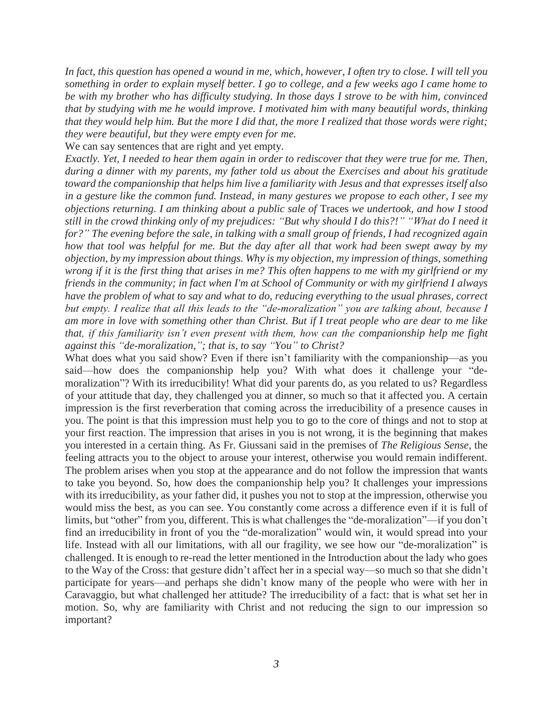*In fact, this question has opened a wound in me, which, however, I often try to close. I will tell you something in order to explain myself better. I go to college, and a few weeks ago I came home to be with my brother who has difficulty studying. In those days I strove to be with him, convinced that by studying with me he would improve. I motivated him with many beautiful words, thinking that they would help him. But the more I did that, the more I realized that those words were right; they were beautiful, but they were empty even for me.*

We can say sentences that are right and yet empty.

*Exactly. Yet, I needed to hear them again in order to rediscover that they were true for me. Then, during a dinner with my parents, my father told us about the Exercises and about his gratitude toward the companionship that helps him live a familiarity with Jesus and that expresses itself also in a gesture like the common fund. Instead, in many gestures we propose to each other, I see my objections returning. I am thinking about a public sale of* Traces *we undertook, and how I stood still in the crowd thinking only of my prejudices: "But why should I do this?!" "What do I need it for?" The evening before the sale, in talking with a small group of friends, I had recognized again how that tool was helpful for me. But the day after all that work had been swept away by my objection, by my impression about things. Why is my objection, my impression of things, something wrong if it is the first thing that arises in me? This often happens to me with my girlfriend or my friends in the community; in fact when I'm at School of Community or with my girlfriend I always have the problem of what to say and what to do, reducing everything to the usual phrases, correct but empty. I realize that all this leads to the "de-moralization" you are talking about, because I am more in love with something other than Christ. But if I treat people who are dear to me like that, if this familiarity isn't even present with them, how can the companionship help me fight against this "de-moralization,"; that is, to say "You" to Christ?* 

What does what you said show? Even if there isn't familiarity with the companionship—as you said—how does the companionship help you? With what does it challenge your "demoralization"? With its irreducibility! What did your parents do, as you related to us? Regardless of your attitude that day, they challenged you at dinner, so much so that it affected you. A certain impression is the first reverberation that coming across the irreducibility of a presence causes in you. The point is that this impression must help you to go to the core of things and not to stop at your first reaction. The impression that arises in you is not wrong, it is the beginning that makes you interested in a certain thing. As Fr. Giussani said in the premises of *The Religious Sense*, the feeling attracts you to the object to arouse your interest, otherwise you would remain indifferent. The problem arises when you stop at the appearance and do not follow the impression that wants to take you beyond. So, how does the companionship help you? It challenges your impressions with its irreducibility, as your father did, it pushes you not to stop at the impression, otherwise you would miss the best, as you can see. You constantly come across a difference even if it is full of limits, but "other" from you, different. This is what challenges the "de-moralization"––if you don't find an irreducibility in front of you the "de-moralization" would win, it would spread into your life. Instead with all our limitations, with all our fragility, we see how our "de-moralization" is challenged. It is enough to re-read the letter mentioned in the Introduction about the lady who goes to the Way of the Cross: that gesture didn't affect her in a special way—so much so that she didn't participate for years—and perhaps she didn't know many of the people who were with her in Caravaggio, but what challenged her attitude? The irreducibility of a fact: that is what set her in motion. So, why are familiarity with Christ and not reducing the sign to our impression so important?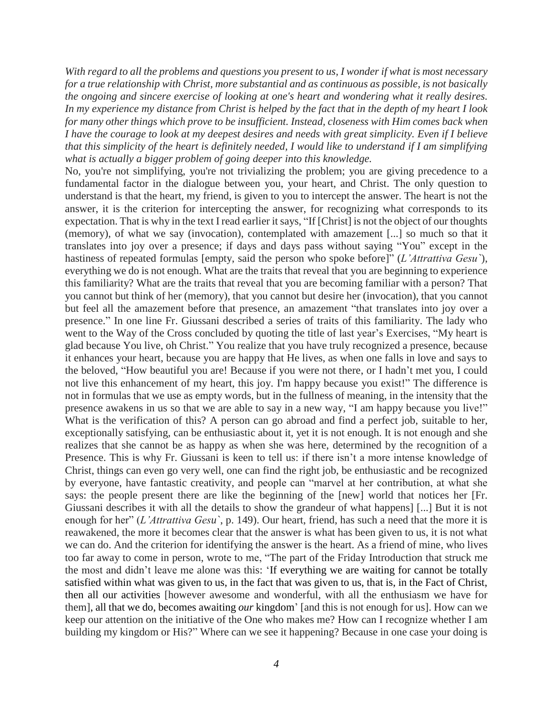*With regard to all the problems and questions you present to us, I wonder if what is most necessary for a true relationship with Christ, more substantial and as continuous as possible, is not basically the ongoing and sincere exercise of looking at one's heart and wondering what it really desires. In my experience my distance from Christ is helped by the fact that in the depth of my heart I look for many other things which prove to be insufficient. Instead, closeness with Him comes back when I have the courage to look at my deepest desires and needs with great simplicity. Even if I believe that this simplicity of the heart is definitely needed, I would like to understand if I am simplifying what is actually a bigger problem of going deeper into this knowledge.*

No, you're not simplifying, you're not trivializing the problem; you are giving precedence to a fundamental factor in the dialogue between you, your heart, and Christ. The only question to understand is that the heart, my friend, is given to you to intercept the answer. The heart is not the answer, it is the criterion for intercepting the answer, for recognizing what corresponds to its expectation. That is why in the text I read earlier it says, "If [Christ] is not the object of our thoughts (memory), of what we say (invocation), contemplated with amazement [...] so much so that it translates into joy over a presence; if days and days pass without saying "You" except in the hastiness of repeated formulas [empty, said the person who spoke before]" (*L'Attrattiva Gesu`*), everything we do is not enough. What are the traits that reveal that you are beginning to experience this familiarity? What are the traits that reveal that you are becoming familiar with a person? That you cannot but think of her (memory), that you cannot but desire her (invocation), that you cannot but feel all the amazement before that presence, an amazement "that translates into joy over a presence." In one line Fr. Giussani described a series of traits of this familiarity. The lady who went to the Way of the Cross concluded by quoting the title of last year's Exercises, "My heart is glad because You live, oh Christ." You realize that you have truly recognized a presence, because it enhances your heart, because you are happy that He lives, as when one falls in love and says to the beloved, "How beautiful you are! Because if you were not there, or I hadn't met you, I could not live this enhancement of my heart, this joy. I'm happy because you exist!" The difference is not in formulas that we use as empty words, but in the fullness of meaning, in the intensity that the presence awakens in us so that we are able to say in a new way, "I am happy because you live!" What is the verification of this? A person can go abroad and find a perfect job, suitable to her, exceptionally satisfying, can be enthusiastic about it, yet it is not enough. It is not enough and she realizes that she cannot be as happy as when she was here, determined by the recognition of a Presence. This is why Fr. Giussani is keen to tell us: if there isn't a more intense knowledge of Christ, things can even go very well, one can find the right job, be enthusiastic and be recognized by everyone, have fantastic creativity, and people can "marvel at her contribution, at what she says: the people present there are like the beginning of the [new] world that notices her [Fr. Giussani describes it with all the details to show the grandeur of what happens] [...] But it is not enough for her" (*L'Attrattiva Gesu`*, p. 149). Our heart, friend, has such a need that the more it is reawakened, the more it becomes clear that the answer is what has been given to us, it is not what we can do. And the criterion for identifying the answer is the heart. As a friend of mine, who lives too far away to come in person, wrote to me, "The part of the Friday Introduction that struck me the most and didn't leave me alone was this: 'If everything we are waiting for cannot be totally satisfied within what was given to us, in the fact that was given to us, that is, in the Fact of Christ, then all our activities [however awesome and wonderful, with all the enthusiasm we have for them], all that we do, becomes awaiting *our* kingdom' [and this is not enough for us]. How can we keep our attention on the initiative of the One who makes me? How can I recognize whether I am building my kingdom or His?" Where can we see it happening? Because in one case your doing is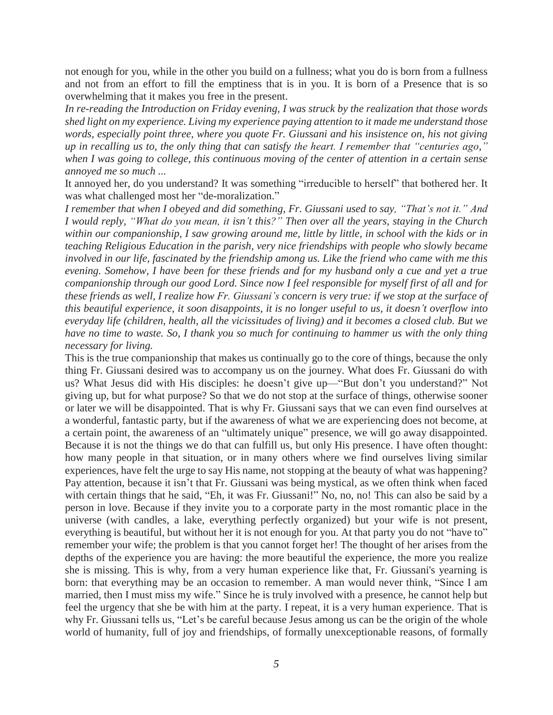not enough for you, while in the other you build on a fullness; what you do is born from a fullness and not from an effort to fill the emptiness that is in you. It is born of a Presence that is so overwhelming that it makes you free in the present.

*In re-reading the Introduction on Friday evening, I was struck by the realization that those words shed light on my experience. Living my experience paying attention to it made me understand those words, especially point three, where you quote Fr. Giussani and his insistence on, his not giving up in recalling us to, the only thing that can satisfy the heart. I remember that "centuries ago," when I was going to college, this continuous moving of the center of attention in a certain sense annoyed me so much ...*

It annoyed her, do you understand? It was something "irreducible to herself" that bothered her. It was what challenged most her "de-moralization."

*I remember that when I obeyed and did something, Fr. Giussani used to say, "That's not it." And I would reply, "What do you mean, it isn't this?" Then over all the years, staying in the Church within our companionship, I saw growing around me, little by little, in school with the kids or in teaching Religious Education in the parish, very nice friendships with people who slowly became involved in our life, fascinated by the friendship among us. Like the friend who came with me this evening. Somehow, I have been for these friends and for my husband only a cue and yet a true companionship through our good Lord. Since now I feel responsible for myself first of all and for these friends as well, I realize how Fr. Giussani's concern is very true: if we stop at the surface of this beautiful experience, it soon disappoints, it is no longer useful to us, it doesn't overflow into everyday life (children, health, all the vicissitudes of living) and it becomes a closed club. But we have no time to waste. So, I thank you so much for continuing to hammer us with the only thing necessary for living.*

This is the true companionship that makes us continually go to the core of things, because the only thing Fr. Giussani desired was to accompany us on the journey. What does Fr. Giussani do with us? What Jesus did with His disciples: he doesn't give up—"But don't you understand?" Not giving up, but for what purpose? So that we do not stop at the surface of things, otherwise sooner or later we will be disappointed. That is why Fr. Giussani says that we can even find ourselves at a wonderful, fantastic party, but if the awareness of what we are experiencing does not become, at a certain point, the awareness of an "ultimately unique" presence, we will go away disappointed. Because it is not the things we do that can fulfill us, but only His presence. I have often thought: how many people in that situation, or in many others where we find ourselves living similar experiences, have felt the urge to say His name, not stopping at the beauty of what was happening? Pay attention, because it isn't that Fr. Giussani was being mystical, as we often think when faced with certain things that he said, "Eh, it was Fr. Giussani!" No, no, no! This can also be said by a person in love. Because if they invite you to a corporate party in the most romantic place in the universe (with candles, a lake, everything perfectly organized) but your wife is not present, everything is beautiful, but without her it is not enough for you. At that party you do not "have to" remember your wife; the problem is that you cannot forget her! The thought of her arises from the depths of the experience you are having: the more beautiful the experience, the more you realize she is missing. This is why, from a very human experience like that, Fr. Giussani's yearning is born: that everything may be an occasion to remember. A man would never think, "Since I am married, then I must miss my wife." Since he is truly involved with a presence, he cannot help but feel the urgency that she be with him at the party. I repeat, it is a very human experience. That is why Fr. Giussani tells us, "Let's be careful because Jesus among us can be the origin of the whole world of humanity, full of joy and friendships, of formally unexceptionable reasons, of formally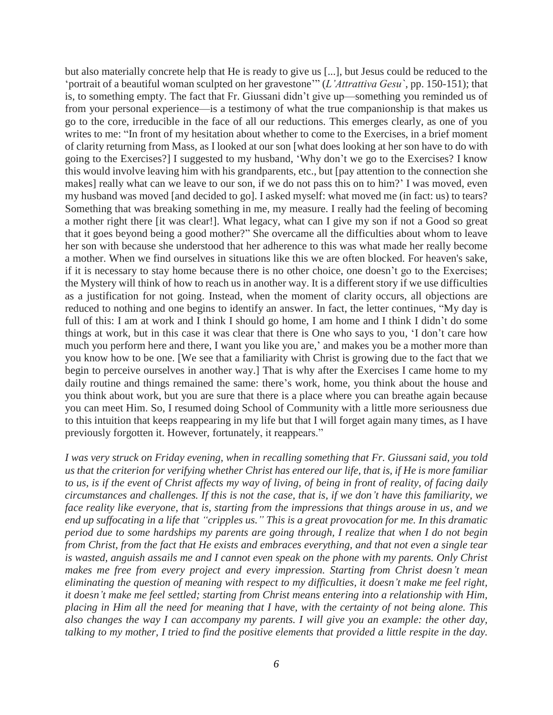but also materially concrete help that He is ready to give us [...], but Jesus could be reduced to the 'portrait of a beautiful woman sculpted on her gravestone'" (*L'Attrattiva Gesu`*, pp. 150-151); that is, to something empty. The fact that Fr. Giussani didn't give up—something you reminded us of from your personal experience—is a testimony of what the true companionship is that makes us go to the core, irreducible in the face of all our reductions. This emerges clearly, as one of you writes to me: "In front of my hesitation about whether to come to the Exercises, in a brief moment of clarity returning from Mass, as I looked at our son [what does looking at her son have to do with going to the Exercises?] I suggested to my husband, 'Why don't we go to the Exercises? I know this would involve leaving him with his grandparents, etc., but [pay attention to the connection she makes] really what can we leave to our son, if we do not pass this on to him?' I was moved, even my husband was moved [and decided to go]. I asked myself: what moved me (in fact: us) to tears? Something that was breaking something in me, my measure. I really had the feeling of becoming a mother right there [it was clear!]. What legacy, what can I give my son if not a Good so great that it goes beyond being a good mother?" She overcame all the difficulties about whom to leave her son with because she understood that her adherence to this was what made her really become a mother. When we find ourselves in situations like this we are often blocked. For heaven's sake, if it is necessary to stay home because there is no other choice, one doesn't go to the Exercises; the Mystery will think of how to reach us in another way. It is a different story if we use difficulties as a justification for not going. Instead, when the moment of clarity occurs, all objections are reduced to nothing and one begins to identify an answer. In fact, the letter continues, "My day is full of this: I am at work and I think I should go home, I am home and I think I didn't do some things at work, but in this case it was clear that there is One who says to you, 'I don't care how much you perform here and there, I want you like you are,' and makes you be a mother more than you know how to be one. [We see that a familiarity with Christ is growing due to the fact that we begin to perceive ourselves in another way.] That is why after the Exercises I came home to my daily routine and things remained the same: there's work, home, you think about the house and you think about work, but you are sure that there is a place where you can breathe again because you can meet Him. So, I resumed doing School of Community with a little more seriousness due to this intuition that keeps reappearing in my life but that I will forget again many times, as I have previously forgotten it. However, fortunately, it reappears."

*I was very struck on Friday evening, when in recalling something that Fr. Giussani said, you told us that the criterion for verifying whether Christ has entered our life, that is, if He is more familiar to us, is if the event of Christ affects my way of living, of being in front of reality, of facing daily circumstances and challenges. If this is not the case, that is, if we don't have this familiarity, we face reality like everyone, that is, starting from the impressions that things arouse in us, and we end up suffocating in a life that "cripples us." This is a great provocation for me. In this dramatic period due to some hardships my parents are going through, I realize that when I do not begin from Christ, from the fact that He exists and embraces everything, and that not even a single tear is wasted, anguish assails me and I cannot even speak on the phone with my parents. Only Christ makes me free from every project and every impression. Starting from Christ doesn't mean eliminating the question of meaning with respect to my difficulties, it doesn't make me feel right, it doesn't make me feel settled; starting from Christ means entering into a relationship with Him, placing in Him all the need for meaning that I have, with the certainty of not being alone. This also changes the way I can accompany my parents. I will give you an example: the other day, talking to my mother, I tried to find the positive elements that provided a little respite in the day.*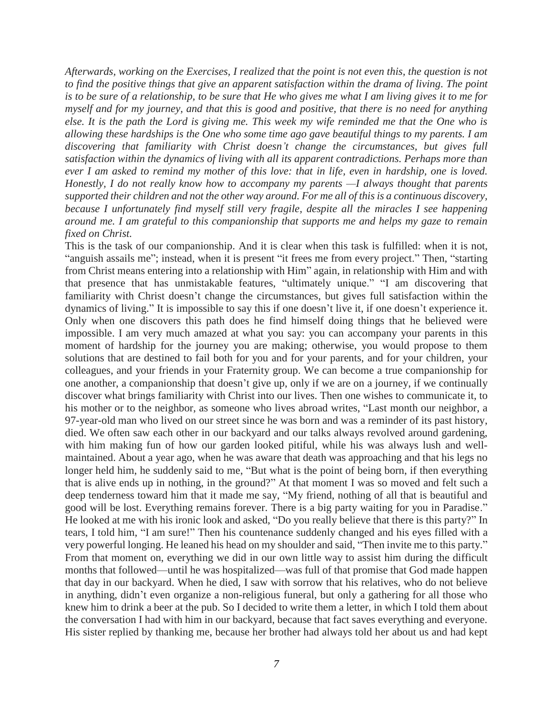*Afterwards, working on the Exercises, I realized that the point is not even this, the question is not to find the positive things that give an apparent satisfaction within the drama of living. The point is to be sure of a relationship, to be sure that He who gives me what I am living gives it to me for myself and for my journey, and that this is good and positive, that there is no need for anything else. It is the path the Lord is giving me. This week my wife reminded me that the One who is allowing these hardships is the One who some time ago gave beautiful things to my parents. I am discovering that familiarity with Christ doesn't change the circumstances, but gives full satisfaction within the dynamics of living with all its apparent contradictions. Perhaps more than ever I am asked to remind my mother of this love: that in life, even in hardship, one is loved. Honestly, I do not really know how to accompany my parents —I always thought that parents supported their children and not the other way around. For me all of this is a continuous discovery, because I unfortunately find myself still very fragile, despite all the miracles I see happening around me. I am grateful to this companionship that supports me and helps my gaze to remain fixed on Christ.*

This is the task of our companionship. And it is clear when this task is fulfilled: when it is not, "anguish assails me"; instead, when it is present "it frees me from every project." Then, "starting from Christ means entering into a relationship with Him" again, in relationship with Him and with that presence that has unmistakable features, "ultimately unique." "I am discovering that familiarity with Christ doesn't change the circumstances, but gives full satisfaction within the dynamics of living." It is impossible to say this if one doesn't live it, if one doesn't experience it. Only when one discovers this path does he find himself doing things that he believed were impossible. I am very much amazed at what you say: you can accompany your parents in this moment of hardship for the journey you are making; otherwise, you would propose to them solutions that are destined to fail both for you and for your parents, and for your children, your colleagues, and your friends in your Fraternity group. We can become a true companionship for one another, a companionship that doesn't give up, only if we are on a journey, if we continually discover what brings familiarity with Christ into our lives. Then one wishes to communicate it, to his mother or to the neighbor, as someone who lives abroad writes, "Last month our neighbor, a 97-year-old man who lived on our street since he was born and was a reminder of its past history, died. We often saw each other in our backyard and our talks always revolved around gardening, with him making fun of how our garden looked pitiful, while his was always lush and wellmaintained. About a year ago, when he was aware that death was approaching and that his legs no longer held him, he suddenly said to me, "But what is the point of being born, if then everything that is alive ends up in nothing, in the ground?" At that moment I was so moved and felt such a deep tenderness toward him that it made me say, "My friend, nothing of all that is beautiful and good will be lost. Everything remains forever. There is a big party waiting for you in Paradise." He looked at me with his ironic look and asked, "Do you really believe that there is this party?" In tears, I told him, "I am sure!" Then his countenance suddenly changed and his eyes filled with a very powerful longing. He leaned his head on my shoulder and said, "Then invite me to this party." From that moment on, everything we did in our own little way to assist him during the difficult months that followed—until he was hospitalized—was full of that promise that God made happen that day in our backyard. When he died, I saw with sorrow that his relatives, who do not believe in anything, didn't even organize a non-religious funeral, but only a gathering for all those who knew him to drink a beer at the pub. So I decided to write them a letter, in which I told them about the conversation I had with him in our backyard, because that fact saves everything and everyone. His sister replied by thanking me, because her brother had always told her about us and had kept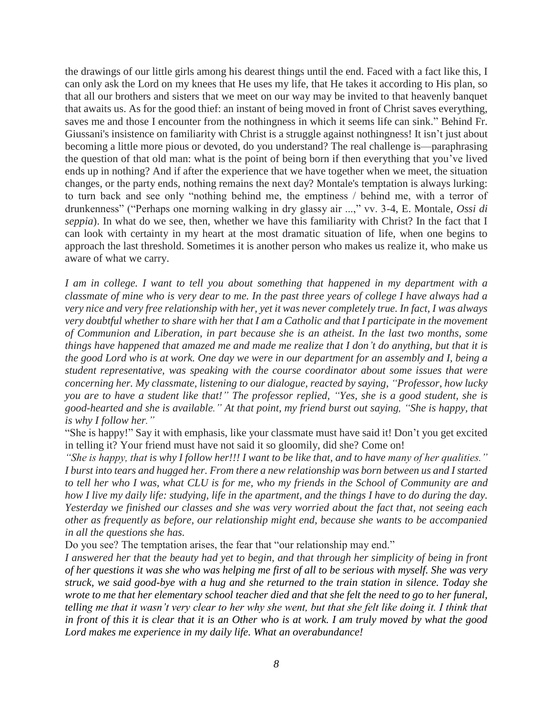the drawings of our little girls among his dearest things until the end. Faced with a fact like this, I can only ask the Lord on my knees that He uses my life, that He takes it according to His plan, so that all our brothers and sisters that we meet on our way may be invited to that heavenly banquet that awaits us. As for the good thief: an instant of being moved in front of Christ saves everything, saves me and those I encounter from the nothingness in which it seems life can sink." Behind Fr. Giussani's insistence on familiarity with Christ is a struggle against nothingness! It isn't just about becoming a little more pious or devoted, do you understand? The real challenge is—paraphrasing the question of that old man: what is the point of being born if then everything that you've lived ends up in nothing? And if after the experience that we have together when we meet, the situation changes, or the party ends, nothing remains the next day? Montale's temptation is always lurking: to turn back and see only "nothing behind me, the emptiness / behind me, with a terror of drunkenness" ("Perhaps one morning walking in dry glassy air ...," vv. 3-4, E. Montale, *Ossi di seppia*). In what do we see, then, whether we have this familiarity with Christ? In the fact that I can look with certainty in my heart at the most dramatic situation of life, when one begins to approach the last threshold. Sometimes it is another person who makes us realize it, who make us aware of what we carry.

*I am in college. I want to tell you about something that happened in my department with a classmate of mine who is very dear to me. In the past three years of college I have always had a very nice and very free relationship with her, yet it was never completely true. In fact, I was always very doubtful whether to share with her that I am a Catholic and that I participate in the movement of Communion and Liberation, in part because she is an atheist. In the last two months, some things have happened that amazed me and made me realize that I don't do anything, but that it is the good Lord who is at work. One day we were in our department for an assembly and I, being a student representative, was speaking with the course coordinator about some issues that were concerning her. My classmate, listening to our dialogue, reacted by saying, "Professor, how lucky you are to have a student like that!" The professor replied, "Yes, she is a good student, she is good-hearted and she is available." At that point, my friend burst out saying, "She is happy, that is why I follow her."*

"She is happy!" Say it with emphasis, like your classmate must have said it! Don't you get excited in telling it? Your friend must have not said it so gloomily, did she? Come on!

*"She is happy, that is why I follow her!!! I want to be like that, and to have many of her qualities." I burst into tears and hugged her. From there a new relationship was born between us and I started to tell her who I was, what CLU is for me, who my friends in the School of Community are and how I live my daily life: studying, life in the apartment, and the things I have to do during the day. Yesterday we finished our classes and she was very worried about the fact that, not seeing each other as frequently as before, our relationship might end, because she wants to be accompanied in all the questions she has.*

Do you see? The temptation arises, the fear that "our relationship may end."

*I answered her that the beauty had yet to begin, and that through her simplicity of being in front of her questions it was she who was helping me first of all to be serious with myself. She was very struck, we said good-bye with a hug and she returned to the train station in silence. Today she wrote to me that her elementary school teacher died and that she felt the need to go to her funeral, telling me that it wasn't very clear to her why she went, but that she felt like doing it. I think that in front of this it is clear that it is an Other who is at work. I am truly moved by what the good Lord makes me experience in my daily life. What an overabundance!*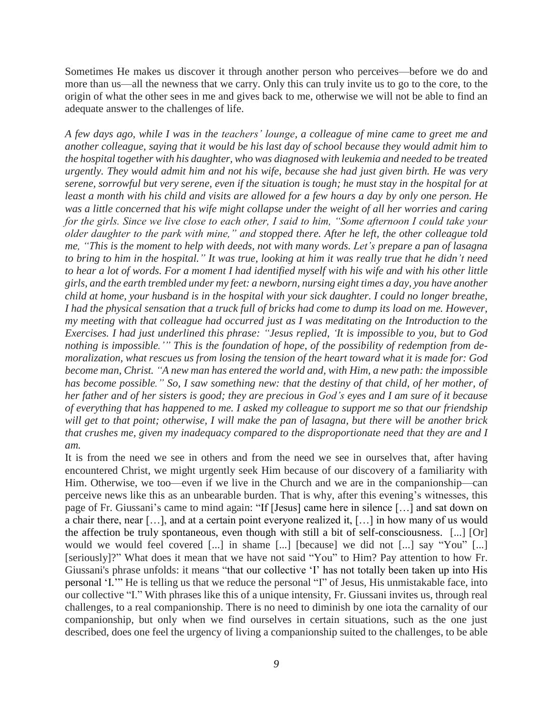Sometimes He makes us discover it through another person who perceives—before we do and more than us—all the newness that we carry. Only this can truly invite us to go to the core, to the origin of what the other sees in me and gives back to me, otherwise we will not be able to find an adequate answer to the challenges of life.

*A few days ago, while I was in the teachers' lounge, a colleague of mine came to greet me and another colleague, saying that it would be his last day of school because they would admit him to the hospital together with his daughter, who was diagnosed with leukemia and needed to be treated urgently. They would admit him and not his wife, because she had just given birth. He was very serene, sorrowful but very serene, even if the situation is tough; he must stay in the hospital for at least a month with his child and visits are allowed for a few hours a day by only one person. He was a little concerned that his wife might collapse under the weight of all her worries and caring for the girls. Since we live close to each other, I said to him, "Some afternoon I could take your older daughter to the park with mine," and stopped there. After he left, the other colleague told me, "This is the moment to help with deeds, not with many words. Let's prepare a pan of lasagna to bring to him in the hospital." It was true, looking at him it was really true that he didn't need to hear a lot of words. For a moment I had identified myself with his wife and with his other little girls, and the earth trembled under my feet: a newborn, nursing eight times a day, you have another child at home, your husband is in the hospital with your sick daughter. I could no longer breathe, I had the physical sensation that a truck full of bricks had come to dump its load on me. However, my meeting with that colleague had occurred just as I was meditating on the Introduction to the Exercises. I had just underlined this phrase: "Jesus replied, 'It is impossible to you, but to God nothing is impossible.'" This is the foundation of hope, of the possibility of redemption from demoralization, what rescues us from losing the tension of the heart toward what it is made for: God become man, Christ. "A new man has entered the world and, with Him, a new path: the impossible has become possible." So, I saw something new: that the destiny of that child, of her mother, of her father and of her sisters is good; they are precious in God's eyes and I am sure of it because of everything that has happened to me. I asked my colleague to support me so that our friendship will get to that point; otherwise, I will make the pan of lasagna, but there will be another brick that crushes me, given my inadequacy compared to the disproportionate need that they are and I am.*

It is from the need we see in others and from the need we see in ourselves that, after having encountered Christ, we might urgently seek Him because of our discovery of a familiarity with Him. Otherwise, we too—even if we live in the Church and we are in the companionship—can perceive news like this as an unbearable burden. That is why, after this evening's witnesses, this page of Fr. Giussani's came to mind again: "If [Jesus] came here in silence […] and sat down on a chair there, near […], and at a certain point everyone realized it, […] in how many of us would the affection be truly spontaneous, even though with still a bit of self-consciousness. [...] [Or] would we would feel covered [...] in shame [...] [because] we did not [...] say "You" [...] [seriously]?" What does it mean that we have not said "You" to Him? Pay attention to how Fr. Giussani's phrase unfolds: it means "that our collective 'I' has not totally been taken up into His personal 'I.'" He is telling us that we reduce the personal "I" of Jesus, His unmistakable face, into our collective "I." With phrases like this of a unique intensity, Fr. Giussani invites us, through real challenges, to a real companionship. There is no need to diminish by one iota the carnality of our companionship, but only when we find ourselves in certain situations, such as the one just described, does one feel the urgency of living a companionship suited to the challenges, to be able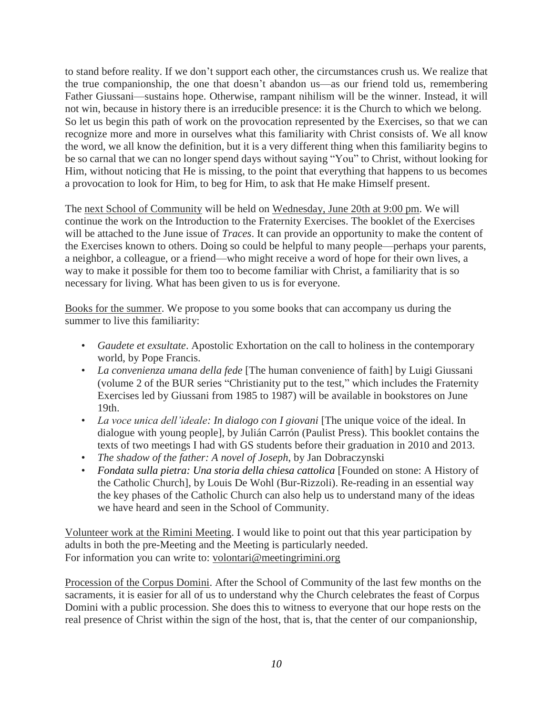to stand before reality. If we don't support each other, the circumstances crush us. We realize that the true companionship, the one that doesn't abandon us—as our friend told us, remembering Father Giussani—sustains hope. Otherwise, rampant nihilism will be the winner. Instead, it will not win, because in history there is an irreducible presence: it is the Church to which we belong. So let us begin this path of work on the provocation represented by the Exercises, so that we can recognize more and more in ourselves what this familiarity with Christ consists of. We all know the word, we all know the definition, but it is a very different thing when this familiarity begins to be so carnal that we can no longer spend days without saying "You" to Christ, without looking for Him, without noticing that He is missing, to the point that everything that happens to us becomes a provocation to look for Him, to beg for Him, to ask that He make Himself present.

The next School of Community will be held on Wednesday, June 20th at 9:00 pm. We will continue the work on the Introduction to the Fraternity Exercises. The booklet of the Exercises will be attached to the June issue of *Traces*. It can provide an opportunity to make the content of the Exercises known to others. Doing so could be helpful to many people—perhaps your parents, a neighbor, a colleague, or a friend—who might receive a word of hope for their own lives, a way to make it possible for them too to become familiar with Christ, a familiarity that is so necessary for living. What has been given to us is for everyone.

Books for the summer. We propose to you some books that can accompany us during the summer to live this familiarity:

- *Gaudete et exsultate*. Apostolic Exhortation on the call to holiness in the contemporary world, by Pope Francis.
- *La convenienza umana della fede* [The human convenience of faith] by Luigi Giussani (volume 2 of the BUR series "Christianity put to the test," which includes the Fraternity Exercises led by Giussani from 1985 to 1987) will be available in bookstores on June 19th.
- *La voce unica dell'ideale: In dialogo con I giovani* [The unique voice of the ideal. In dialogue with young people], by Julián Carrón (Paulist Press). This booklet contains the texts of two meetings I had with GS students before their graduation in 2010 and 2013.
- *The shadow of the father: A novel of Joseph*, by Jan Dobraczynski
- *Fondata sulla pietra: Una storia della chiesa cattolica* [Founded on stone: A History of the Catholic Church], by Louis De Wohl (Bur-Rizzoli). Re-reading in an essential way the key phases of the Catholic Church can also help us to understand many of the ideas we have heard and seen in the School of Community.

Volunteer work at the Rimini Meeting. I would like to point out that this year participation by adults in both the pre-Meeting and the Meeting is particularly needed. For information you can write to: volontari@meetingrimini.org

Procession of the Corpus Domini. After the School of Community of the last few months on the sacraments, it is easier for all of us to understand why the Church celebrates the feast of Corpus Domini with a public procession. She does this to witness to everyone that our hope rests on the real presence of Christ within the sign of the host, that is, that the center of our companionship,